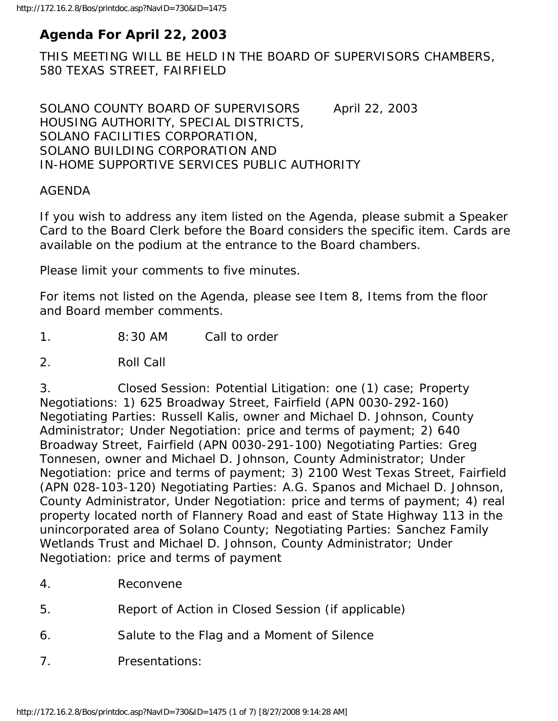# **Agenda For April 22, 2003**

THIS MEETING WILL BE HELD IN THE BOARD OF SUPERVISORS CHAMBERS, 580 TEXAS STREET, FAIRFIELD

SOLANO COUNTY BOARD OF SUPERVISORS April 22, 2003 HOUSING AUTHORITY, SPECIAL DISTRICTS, SOLANO FACILITIES CORPORATION, SOLANO BUILDING CORPORATION AND IN-HOME SUPPORTIVE SERVICES PUBLIC AUTHORITY

#### AGENDA

If you wish to address any item listed on the Agenda, please submit a Speaker Card to the Board Clerk before the Board considers the specific item. Cards are available on the podium at the entrance to the Board chambers.

Please limit your comments to five minutes.

For items not listed on the Agenda, please see Item 8, Items from the floor and Board member comments.

1. 8:30 AM Call to order

2. Roll Call

3. Closed Session: Potential Litigation: one (1) case; Property Negotiations: 1) 625 Broadway Street, Fairfield (APN 0030-292-160) Negotiating Parties: Russell Kalis, owner and Michael D. Johnson, County Administrator; Under Negotiation: price and terms of payment; 2) 640 Broadway Street, Fairfield (APN 0030-291-100) Negotiating Parties: Greg Tonnesen, owner and Michael D. Johnson, County Administrator; Under Negotiation: price and terms of payment; 3) 2100 West Texas Street, Fairfield (APN 028-103-120) Negotiating Parties: A.G. Spanos and Michael D. Johnson, County Administrator, Under Negotiation: price and terms of payment; 4) real property located north of Flannery Road and east of State Highway 113 in the unincorporated area of Solano County; Negotiating Parties: Sanchez Family Wetlands Trust and Michael D. Johnson, County Administrator; Under Negotiation: price and terms of payment

4. Reconvene

| 5. | Report of Action in Closed Session (if applicable) |  |  |
|----|----------------------------------------------------|--|--|
|----|----------------------------------------------------|--|--|

- 6. Salute to the Flag and a Moment of Silence
- 7. Presentations: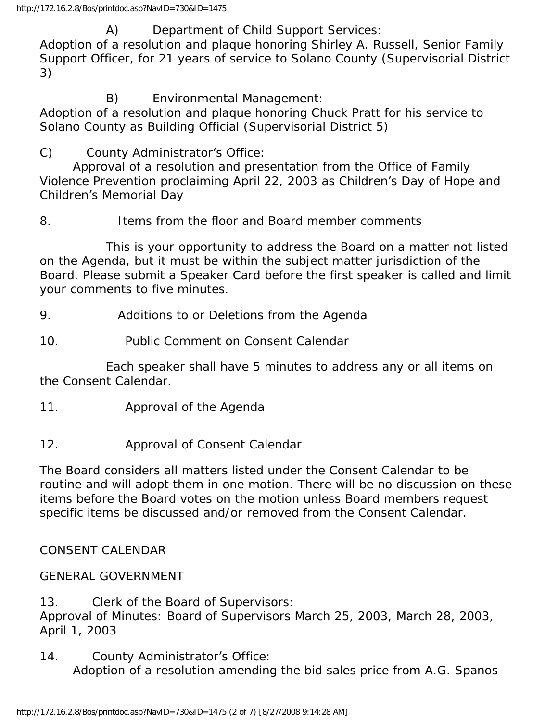A) Department of Child Support Services: Adoption of a resolution and plaque honoring Shirley A. Russell, Senior Family Support Officer, for 21 years of service to Solano County (Supervisorial District 3)

B) Environmental Management:

Adoption of a resolution and plaque honoring Chuck Pratt for his service to Solano County as Building Official (Supervisorial District 5)

C) County Administrator's Office:

 Approval of a resolution and presentation from the Office of Family Violence Prevention proclaiming April 22, 2003 as Children's Day of Hope and Children's Memorial Day

# 8. Items from the floor and Board member comments

 This is your opportunity to address the Board on a matter not listed on the Agenda, but it must be within the subject matter jurisdiction of the Board. Please submit a Speaker Card before the first speaker is called and limit your comments to five minutes.

# 9. Additions to or Deletions from the Agenda

10. Public Comment on Consent Calendar

 Each speaker shall have 5 minutes to address any or all items on the Consent Calendar.

- 11. Approval of the Agenda
- 12. Approval of Consent Calendar

The Board considers all matters listed under the Consent Calendar to be routine and will adopt them in one motion. There will be no discussion on these items before the Board votes on the motion unless Board members request specific items be discussed and/or removed from the Consent Calendar.

# CONSENT CALENDAR

## GENERAL GOVERNMENT

13. Clerk of the Board of Supervisors:

Approval of Minutes: Board of Supervisors March 25, 2003, March 28, 2003, April 1, 2003

14. County Administrator's Office: Adoption of a resolution amending the bid sales price from A.G. Spanos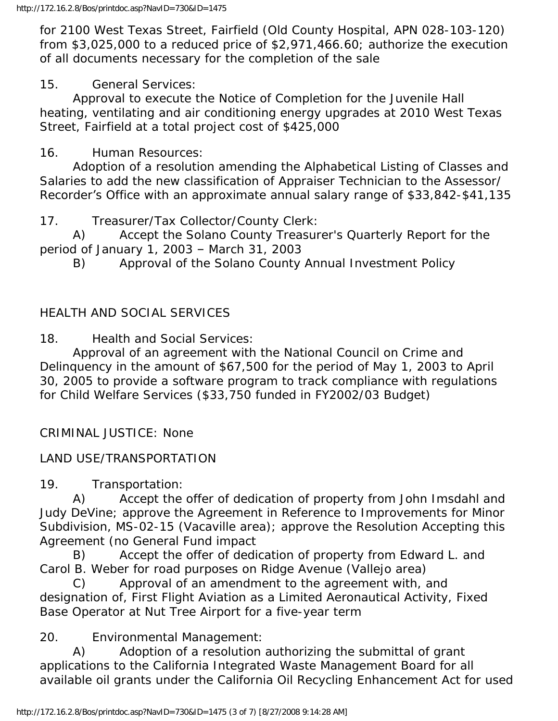for 2100 West Texas Street, Fairfield (Old County Hospital, APN 028-103-120) from \$3,025,000 to a reduced price of \$2,971,466.60; authorize the execution of all documents necessary for the completion of the sale

#### 15. General Services:

 Approval to execute the Notice of Completion for the Juvenile Hall heating, ventilating and air conditioning energy upgrades at 2010 West Texas Street, Fairfield at a total project cost of \$425,000

#### 16. Human Resources:

 Adoption of a resolution amending the Alphabetical Listing of Classes and Salaries to add the new classification of Appraiser Technician to the Assessor/ Recorder's Office with an approximate annual salary range of \$33,842-\$41,135

## 17. Treasurer/Tax Collector/County Clerk:

 A) Accept the Solano County Treasurer's Quarterly Report for the period of January 1, 2003 – March 31, 2003

B) Approval of the Solano County Annual Investment Policy

## HEALTH AND SOCIAL SERVICES

18. Health and Social Services:

 Approval of an agreement with the National Council on Crime and Delinquency in the amount of \$67,500 for the period of May 1, 2003 to April 30, 2005 to provide a software program to track compliance with regulations for Child Welfare Services (\$33,750 funded in FY2002/03 Budget)

CRIMINAL JUSTICE: None

## LAND USE/TRANSPORTATION

19. Transportation:

 A) Accept the offer of dedication of property from John Imsdahl and Judy DeVine; approve the Agreement in Reference to Improvements for Minor Subdivision, MS-02-15 (Vacaville area); approve the Resolution Accepting this Agreement (no General Fund impact

 B) Accept the offer of dedication of property from Edward L. and Carol B. Weber for road purposes on Ridge Avenue (Vallejo area)

 C) Approval of an amendment to the agreement with, and designation of, First Flight Aviation as a Limited Aeronautical Activity, Fixed Base Operator at Nut Tree Airport for a five-year term

20. Environmental Management:

 A) Adoption of a resolution authorizing the submittal of grant applications to the California Integrated Waste Management Board for all available oil grants under the California Oil Recycling Enhancement Act for used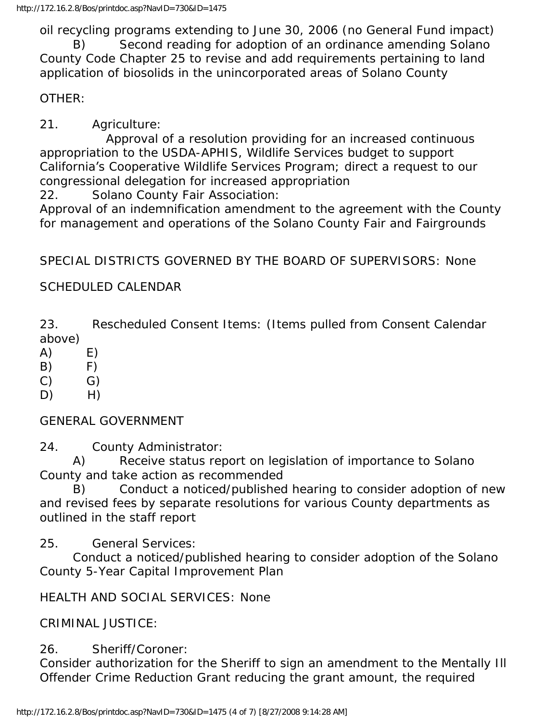oil recycling programs extending to June 30, 2006 (no General Fund impact) B) Second reading for adoption of an ordinance amending Solano County Code Chapter 25 to revise and add requirements pertaining to land application of biosolids in the unincorporated areas of Solano County

## OTHER:

21. Agriculture:

 Approval of a resolution providing for an increased continuous appropriation to the USDA-APHIS, Wildlife Services budget to support California's Cooperative Wildlife Services Program; direct a request to our congressional delegation for increased appropriation

22. Solano County Fair Association:

Approval of an indemnification amendment to the agreement with the County for management and operations of the Solano County Fair and Fairgrounds

SPECIAL DISTRICTS GOVERNED BY THE BOARD OF SUPERVISORS: None

## SCHEDULED CALENDAR

23. Rescheduled Consent Items: (Items pulled from Consent Calendar above)

- $(A)$   $E)$
- $(B)$   $F)$
- $(C)$   $G)$
- $D)$  H)

GENERAL GOVERNMENT

24. County Administrator:

 A) Receive status report on legislation of importance to Solano County and take action as recommended

 B) Conduct a noticed/published hearing to consider adoption of new and revised fees by separate resolutions for various County departments as outlined in the staff report

25. General Services:

 Conduct a noticed/published hearing to consider adoption of the Solano County 5-Year Capital Improvement Plan

HEALTH AND SOCIAL SERVICES: None

CRIMINAL JUSTICE:

26. Sheriff/Coroner:

Consider authorization for the Sheriff to sign an amendment to the Mentally Ill Offender Crime Reduction Grant reducing the grant amount, the required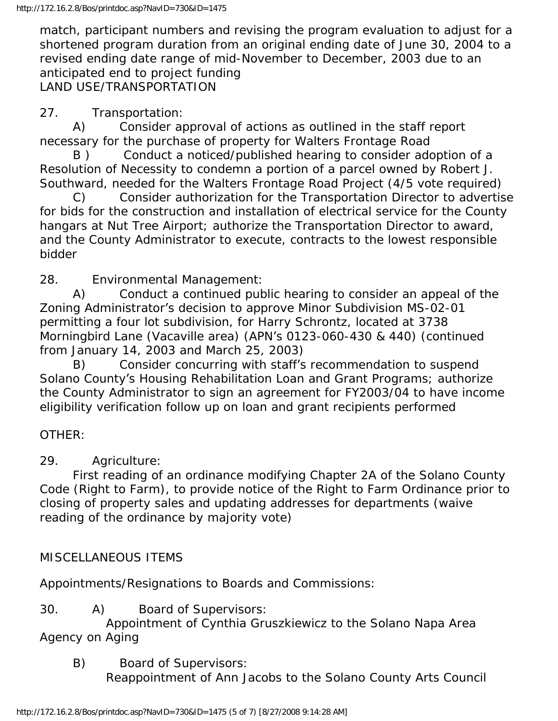match, participant numbers and revising the program evaluation to adjust for a shortened program duration from an original ending date of June 30, 2004 to a revised ending date range of mid-November to December, 2003 due to an anticipated end to project funding LAND USE/TRANSPORTATION

27. Transportation:

 A) Consider approval of actions as outlined in the staff report necessary for the purchase of property for Walters Frontage Road

 B ) Conduct a noticed/published hearing to consider adoption of a Resolution of Necessity to condemn a portion of a parcel owned by Robert J. Southward, needed for the Walters Frontage Road Project (4/5 vote required)

 C) Consider authorization for the Transportation Director to advertise for bids for the construction and installation of electrical service for the County hangars at Nut Tree Airport; authorize the Transportation Director to award, and the County Administrator to execute, contracts to the lowest responsible bidder

28. Environmental Management:

 A) Conduct a continued public hearing to consider an appeal of the Zoning Administrator's decision to approve Minor Subdivision MS-02-01 permitting a four lot subdivision, for Harry Schrontz, located at 3738 Morningbird Lane (Vacaville area) (APN's 0123-060-430 & 440) (continued from January 14, 2003 and March 25, 2003)

 B) Consider concurring with staff's recommendation to suspend Solano County's Housing Rehabilitation Loan and Grant Programs; authorize the County Administrator to sign an agreement for FY2003/04 to have income eligibility verification follow up on loan and grant recipients performed

## OTHER:

29. Agriculture:

 First reading of an ordinance modifying Chapter 2A of the Solano County Code (Right to Farm), to provide notice of the Right to Farm Ordinance prior to closing of property sales and updating addresses for departments (waive reading of the ordinance by majority vote)

## MISCELLANEOUS ITEMS

Appointments/Resignations to Boards and Commissions:

30. A) Board of Supervisors:

 Appointment of Cynthia Gruszkiewicz to the Solano Napa Area Agency on Aging

 B) Board of Supervisors: Reappointment of Ann Jacobs to the Solano County Arts Council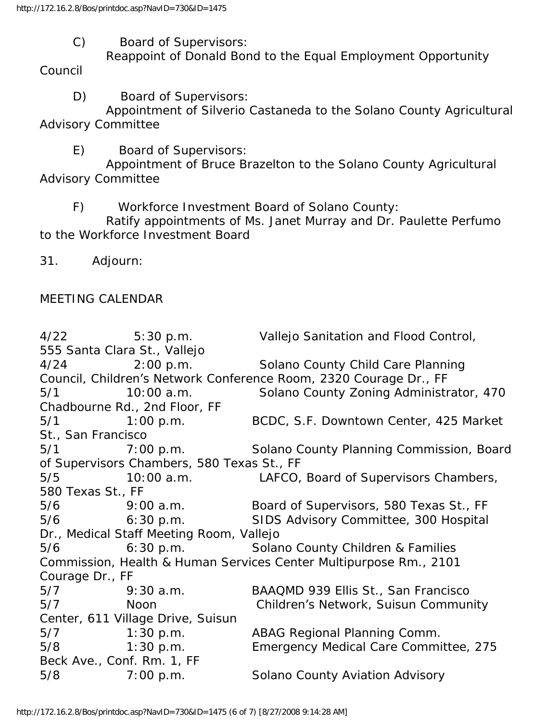C) Board of Supervisors:

 Reappoint of Donald Bond to the Equal Employment Opportunity Council

D) Board of Supervisors:

 Appointment of Silverio Castaneda to the Solano County Agricultural Advisory Committee

E) Board of Supervisors:

 Appointment of Bruce Brazelton to the Solano County Agricultural Advisory Committee

F) Workforce Investment Board of Solano County:

 Ratify appointments of Ms. Janet Murray and Dr. Paulette Perfumo to the Workforce Investment Board

31. Adjourn:

## MEETING CALENDAR

4/22 5:30 p.m. Vallejo Sanitation and Flood Control, 555 Santa Clara St., Vallejo 4/24 2:00 p.m. Solano County Child Care Planning Council, Children's Network Conference Room, 2320 Courage Dr., FF 5/1 10:00 a.m. Solano County Zoning Administrator, 470 Chadbourne Rd., 2nd Floor, FF 5/1 1:00 p.m. BCDC, S.F. Downtown Center, 425 Market St., San Francisco 5/1 7:00 p.m. Solano County Planning Commission, Board of Supervisors Chambers, 580 Texas St., FF 5/5 10:00 a.m. LAFCO, Board of Supervisors Chambers, 580 Texas St., FF 5/6 9:00 a.m. Board of Supervisors, 580 Texas St., FF 5/6 6:30 p.m. SIDS Advisory Committee, 300 Hospital Dr., Medical Staff Meeting Room, Vallejo 5/6 6:30 p.m. Solano County Children & Families Commission, Health & Human Services Center Multipurpose Rm., 2101 Courage Dr., FF 5/7 9:30 a.m. BAAQMD 939 Ellis St., San Francisco 5/7 Noon Children's Network, Suisun Community Center, 611 Village Drive, Suisun 5/7 1:30 p.m. ABAG Regional Planning Comm. 5/8 1:30 p.m. Emergency Medical Care Committee, 275 Beck Ave., Conf. Rm. 1, FF 5/8 7:00 p.m. Solano County Aviation Advisory